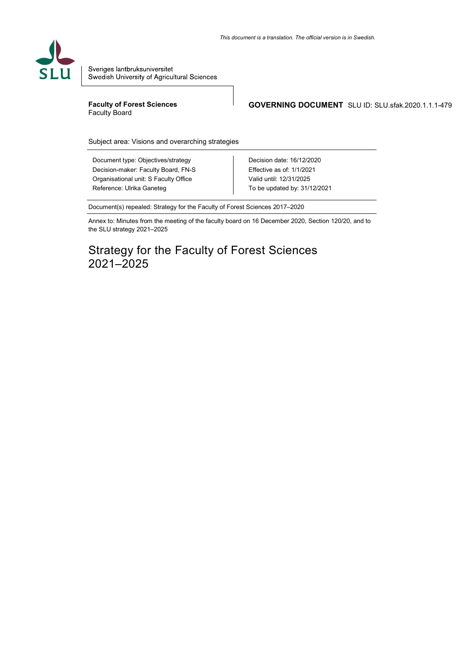

Sveriges lantbruksuniversitet Swedish University of Agricultural Sciences

**Faculty of Forest Sciences** Faculty Board

**GOVERNING DOCUMENT** SLU ID: SLU.sfak.2020.1.1.1-479

Subject area: Visions and overarching strategies

Document type: Objectives/strategy Decision-maker: Faculty Board, FN-S Organisational unit: S Faculty Office Reference: Ulrika Ganeteg

Decision date: 16/12/2020 Effective as of: 1/1/2021 Valid until: 12/31/2025 To be updated by: 31/12/2021

Document(s) repealed: Strategy for the Faculty of Forest Sciences 2017–2020

Annex to: Minutes from the meeting of the faculty board on 16 December 2020, Section 120/20, and to the SLU strategy 2021–2025

# Strategy for the Faculty of Forest Sciences 2021–2025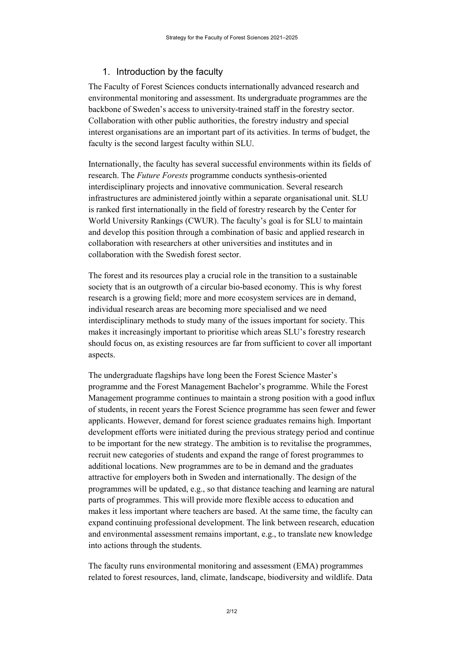# 1. Introduction by the faculty

The Faculty of Forest Sciences conducts internationally advanced research and environmental monitoring and assessment. Its undergraduate programmes are the backbone of Sweden's access to university-trained staff in the forestry sector. Collaboration with other public authorities, the forestry industry and special interest organisations are an important part of its activities. In terms of budget, the faculty is the second largest faculty within SLU.

Internationally, the faculty has several successful environments within its fields of research. The *Future Forests* programme conducts synthesis-oriented interdisciplinary projects and innovative communication. Several research infrastructures are administered jointly within a separate organisational unit. SLU is ranked first internationally in the field of forestry research by the Center for World University Rankings (CWUR). The faculty's goal is for SLU to maintain and develop this position through a combination of basic and applied research in collaboration with researchers at other universities and institutes and in collaboration with the Swedish forest sector.

The forest and its resources play a crucial role in the transition to a sustainable society that is an outgrowth of a circular bio-based economy. This is why forest research is a growing field; more and more ecosystem services are in demand, individual research areas are becoming more specialised and we need interdisciplinary methods to study many of the issues important for society. This makes it increasingly important to prioritise which areas SLU's forestry research should focus on, as existing resources are far from sufficient to cover all important aspects.

The undergraduate flagships have long been the Forest Science Master's programme and the Forest Management Bachelor's programme. While the Forest Management programme continues to maintain a strong position with a good influx of students, in recent years the Forest Science programme has seen fewer and fewer applicants. However, demand for forest science graduates remains high. Important development efforts were initiated during the previous strategy period and continue to be important for the new strategy. The ambition is to revitalise the programmes, recruit new categories of students and expand the range of forest programmes to additional locations. New programmes are to be in demand and the graduates attractive for employers both in Sweden and internationally. The design of the programmes will be updated, e.g., so that distance teaching and learning are natural parts of programmes. This will provide more flexible access to education and makes it less important where teachers are based. At the same time, the faculty can expand continuing professional development. The link between research, education and environmental assessment remains important, e.g., to translate new knowledge into actions through the students.

The faculty runs environmental monitoring and assessment (EMA) programmes related to forest resources, land, climate, landscape, biodiversity and wildlife. Data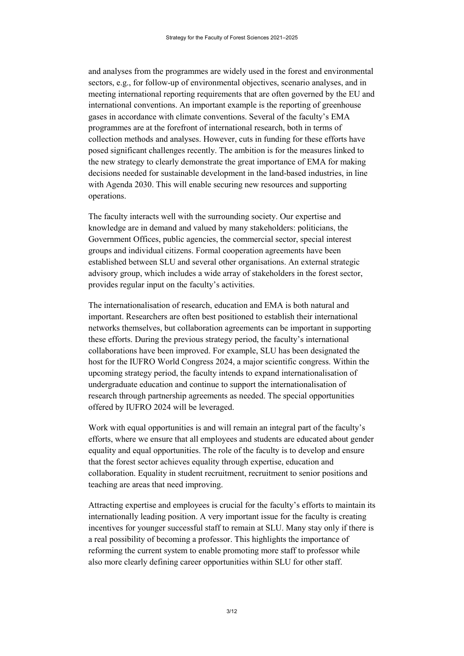and analyses from the programmes are widely used in the forest and environmental sectors, e.g., for follow-up of environmental objectives, scenario analyses, and in meeting international reporting requirements that are often governed by the EU and international conventions. An important example is the reporting of greenhouse gases in accordance with climate conventions. Several of the faculty's EMA programmes are at the forefront of international research, both in terms of collection methods and analyses. However, cuts in funding for these efforts have posed significant challenges recently. The ambition is for the measures linked to the new strategy to clearly demonstrate the great importance of EMA for making decisions needed for sustainable development in the land-based industries, in line with Agenda 2030. This will enable securing new resources and supporting operations.

The faculty interacts well with the surrounding society. Our expertise and knowledge are in demand and valued by many stakeholders: politicians, the Government Offices, public agencies, the commercial sector, special interest groups and individual citizens. Formal cooperation agreements have been established between SLU and several other organisations. An external strategic advisory group, which includes a wide array of stakeholders in the forest sector, provides regular input on the faculty's activities.

The internationalisation of research, education and EMA is both natural and important. Researchers are often best positioned to establish their international networks themselves, but collaboration agreements can be important in supporting these efforts. During the previous strategy period, the faculty's international collaborations have been improved. For example, SLU has been designated the host for the IUFRO World Congress 2024, a major scientific congress. Within the upcoming strategy period, the faculty intends to expand internationalisation of undergraduate education and continue to support the internationalisation of research through partnership agreements as needed. The special opportunities offered by IUFRO 2024 will be leveraged.

Work with equal opportunities is and will remain an integral part of the faculty's efforts, where we ensure that all employees and students are educated about gender equality and equal opportunities. The role of the faculty is to develop and ensure that the forest sector achieves equality through expertise, education and collaboration. Equality in student recruitment, recruitment to senior positions and teaching are areas that need improving.

Attracting expertise and employees is crucial for the faculty's efforts to maintain its internationally leading position. A very important issue for the faculty is creating incentives for younger successful staff to remain at SLU. Many stay only if there is a real possibility of becoming a professor. This highlights the importance of reforming the current system to enable promoting more staff to professor while also more clearly defining career opportunities within SLU for other staff.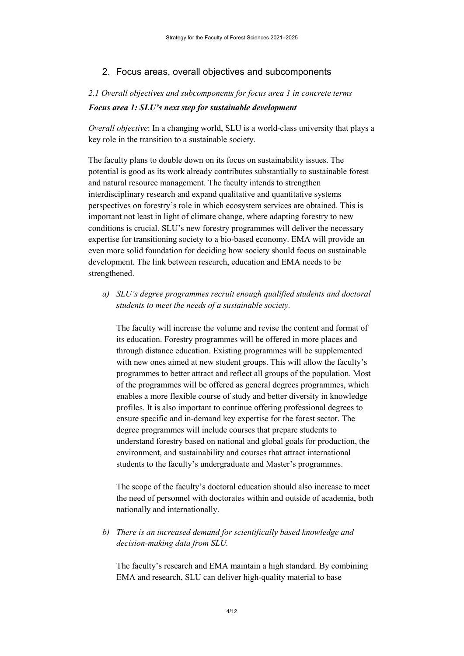### 2. Focus areas, overall objectives and subcomponents

# *2.1 Overall objectives and subcomponents for focus area 1 in concrete terms Focus area 1: SLU's next step for sustainable development*

*Overall objective*: In a changing world, SLU is a world-class university that plays a key role in the transition to a sustainable society.

The faculty plans to double down on its focus on sustainability issues. The potential is good as its work already contributes substantially to sustainable forest and natural resource management. The faculty intends to strengthen interdisciplinary research and expand qualitative and quantitative systems perspectives on forestry's role in which ecosystem services are obtained. This is important not least in light of climate change, where adapting forestry to new conditions is crucial. SLU's new forestry programmes will deliver the necessary expertise for transitioning society to a bio-based economy. EMA will provide an even more solid foundation for deciding how society should focus on sustainable development. The link between research, education and EMA needs to be strengthened.

*a) SLU's degree programmes recruit enough qualified students and doctoral students to meet the needs of a sustainable society.*

The faculty will increase the volume and revise the content and format of its education. Forestry programmes will be offered in more places and through distance education. Existing programmes will be supplemented with new ones aimed at new student groups. This will allow the faculty's programmes to better attract and reflect all groups of the population. Most of the programmes will be offered as general degrees programmes, which enables a more flexible course of study and better diversity in knowledge profiles. It is also important to continue offering professional degrees to ensure specific and in-demand key expertise for the forest sector. The degree programmes will include courses that prepare students to understand forestry based on national and global goals for production, the environment, and sustainability and courses that attract international students to the faculty's undergraduate and Master's programmes.

The scope of the faculty's doctoral education should also increase to meet the need of personnel with doctorates within and outside of academia, both nationally and internationally.

# *b) There is an increased demand for scientifically based knowledge and decision-making data from SLU.*

The faculty's research and EMA maintain a high standard. By combining EMA and research, SLU can deliver high-quality material to base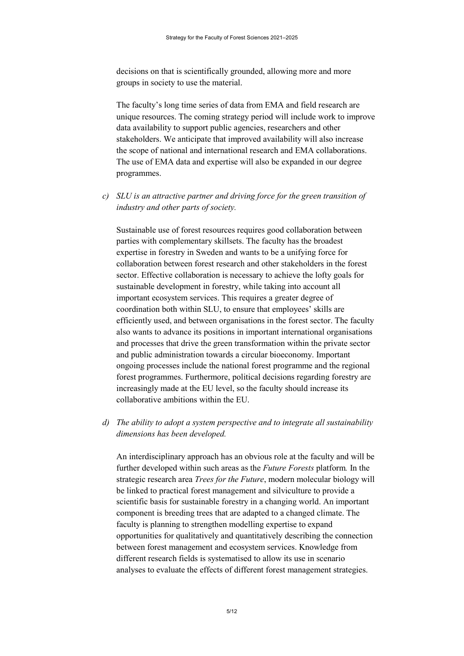decisions on that is scientifically grounded, allowing more and more groups in society to use the material.

The faculty's long time series of data from EMA and field research are unique resources. The coming strategy period will include work to improve data availability to support public agencies, researchers and other stakeholders. We anticipate that improved availability will also increase the scope of national and international research and EMA collaborations. The use of EMA data and expertise will also be expanded in our degree programmes.

*c) SLU is an attractive partner and driving force for the green transition of industry and other parts of society.*

Sustainable use of forest resources requires good collaboration between parties with complementary skillsets. The faculty has the broadest expertise in forestry in Sweden and wants to be a unifying force for collaboration between forest research and other stakeholders in the forest sector. Effective collaboration is necessary to achieve the lofty goals for sustainable development in forestry, while taking into account all important ecosystem services. This requires a greater degree of coordination both within SLU, to ensure that employees' skills are efficiently used, and between organisations in the forest sector. The faculty also wants to advance its positions in important international organisations and processes that drive the green transformation within the private sector and public administration towards a circular bioeconomy. Important ongoing processes include the national forest programme and the regional forest programmes. Furthermore, political decisions regarding forestry are increasingly made at the EU level, so the faculty should increase its collaborative ambitions within the EU.

*d) The ability to adopt a system perspective and to integrate all sustainability dimensions has been developed.*

An interdisciplinary approach has an obvious role at the faculty and will be further developed within such areas as the *Future Forests* platform*.* In the strategic research area *Trees for the Future*, modern molecular biology will be linked to practical forest management and silviculture to provide a scientific basis for sustainable forestry in a changing world. An important component is breeding trees that are adapted to a changed climate. The faculty is planning to strengthen modelling expertise to expand opportunities for qualitatively and quantitatively describing the connection between forest management and ecosystem services. Knowledge from different research fields is systematised to allow its use in scenario analyses to evaluate the effects of different forest management strategies.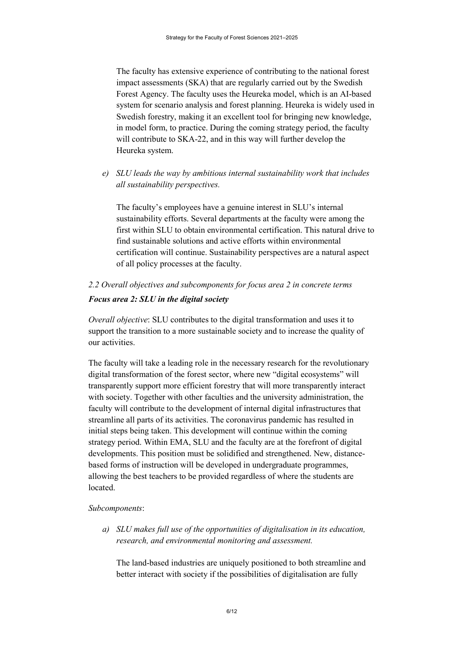The faculty has extensive experience of contributing to the national forest impact assessments (SKA) that are regularly carried out by the Swedish Forest Agency. The faculty uses the Heureka model, which is an AI-based system for scenario analysis and forest planning. Heureka is widely used in Swedish forestry, making it an excellent tool for bringing new knowledge, in model form, to practice. During the coming strategy period, the faculty will contribute to SKA-22, and in this way will further develop the Heureka system.

*e) SLU leads the way by ambitious internal sustainability work that includes all sustainability perspectives.*

The faculty's employees have a genuine interest in SLU's internal sustainability efforts. Several departments at the faculty were among the first within SLU to obtain environmental certification. This natural drive to find sustainable solutions and active efforts within environmental certification will continue. Sustainability perspectives are a natural aspect of all policy processes at the faculty.

*2.2 Overall objectives and subcomponents for focus area 2 in concrete terms*

#### *Focus area 2: SLU in the digital society*

*Overall objective*: SLU contributes to the digital transformation and uses it to support the transition to a more sustainable society and to increase the quality of our activities.

The faculty will take a leading role in the necessary research for the revolutionary digital transformation of the forest sector, where new "digital ecosystems" will transparently support more efficient forestry that will more transparently interact with society. Together with other faculties and the university administration, the faculty will contribute to the development of internal digital infrastructures that streamline all parts of its activities. The coronavirus pandemic has resulted in initial steps being taken. This development will continue within the coming strategy period. Within EMA, SLU and the faculty are at the forefront of digital developments. This position must be solidified and strengthened. New, distancebased forms of instruction will be developed in undergraduate programmes, allowing the best teachers to be provided regardless of where the students are located.

#### *Subcomponents*:

*a) SLU makes full use of the opportunities of digitalisation in its education, research, and environmental monitoring and assessment.*

The land-based industries are uniquely positioned to both streamline and better interact with society if the possibilities of digitalisation are fully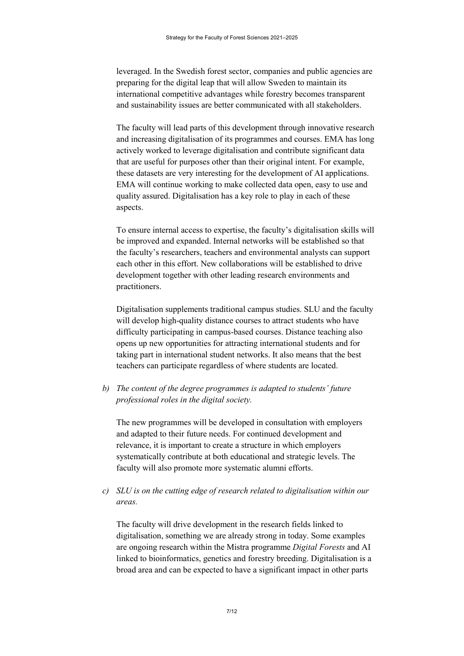leveraged. In the Swedish forest sector, companies and public agencies are preparing for the digital leap that will allow Sweden to maintain its international competitive advantages while forestry becomes transparent and sustainability issues are better communicated with all stakeholders.

The faculty will lead parts of this development through innovative research and increasing digitalisation of its programmes and courses. EMA has long actively worked to leverage digitalisation and contribute significant data that are useful for purposes other than their original intent. For example, these datasets are very interesting for the development of AI applications. EMA will continue working to make collected data open, easy to use and quality assured. Digitalisation has a key role to play in each of these aspects.

To ensure internal access to expertise, the faculty's digitalisation skills will be improved and expanded. Internal networks will be established so that the faculty's researchers, teachers and environmental analysts can support each other in this effort. New collaborations will be established to drive development together with other leading research environments and practitioners.

Digitalisation supplements traditional campus studies. SLU and the faculty will develop high-quality distance courses to attract students who have difficulty participating in campus-based courses. Distance teaching also opens up new opportunities for attracting international students and for taking part in international student networks. It also means that the best teachers can participate regardless of where students are located.

*b) The content of the degree programmes is adapted to students' future professional roles in the digital society.*

The new programmes will be developed in consultation with employers and adapted to their future needs. For continued development and relevance, it is important to create a structure in which employers systematically contribute at both educational and strategic levels. The faculty will also promote more systematic alumni efforts.

*c) SLU is on the cutting edge of research related to digitalisation within our areas.*

The faculty will drive development in the research fields linked to digitalisation, something we are already strong in today. Some examples are ongoing research within the Mistra programme *Digital Forests* and AI linked to bioinformatics, genetics and forestry breeding. Digitalisation is a broad area and can be expected to have a significant impact in other parts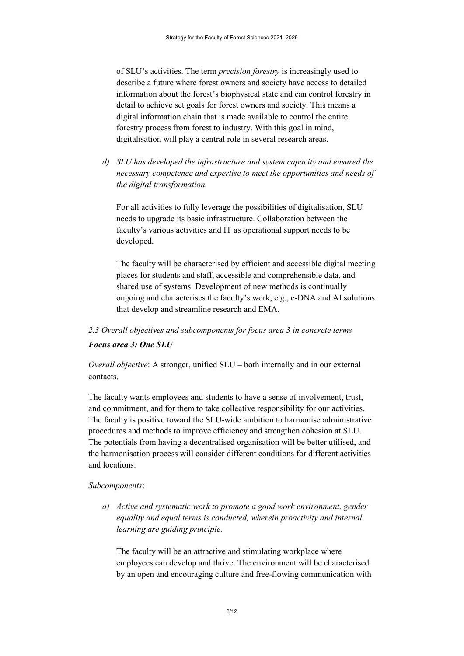of SLU's activities. The term *precision forestry* is increasingly used to describe a future where forest owners and society have access to detailed information about the forest's biophysical state and can control forestry in detail to achieve set goals for forest owners and society. This means a digital information chain that is made available to control the entire forestry process from forest to industry. With this goal in mind, digitalisation will play a central role in several research areas.

*d) SLU has developed the infrastructure and system capacity and ensured the necessary competence and expertise to meet the opportunities and needs of the digital transformation.*

For all activities to fully leverage the possibilities of digitalisation, SLU needs to upgrade its basic infrastructure. Collaboration between the faculty's various activities and IT as operational support needs to be developed.

The faculty will be characterised by efficient and accessible digital meeting places for students and staff, accessible and comprehensible data, and shared use of systems. Development of new methods is continually ongoing and characterises the faculty's work, e.g., e-DNA and AI solutions that develop and streamline research and EMA.

# *2.3 Overall objectives and subcomponents for focus area 3 in concrete terms Focus area 3: One SLU*

*Overall objective*: A stronger, unified SLU – both internally and in our external contacts.

The faculty wants employees and students to have a sense of involvement, trust, and commitment, and for them to take collective responsibility for our activities. The faculty is positive toward the SLU-wide ambition to harmonise administrative procedures and methods to improve efficiency and strengthen cohesion at SLU. The potentials from having a decentralised organisation will be better utilised, and the harmonisation process will consider different conditions for different activities and locations.

#### *Subcomponents*:

*a) Active and systematic work to promote a good work environment, gender equality and equal terms is conducted, wherein proactivity and internal learning are guiding principle.*

The faculty will be an attractive and stimulating workplace where employees can develop and thrive. The environment will be characterised by an open and encouraging culture and free-flowing communication with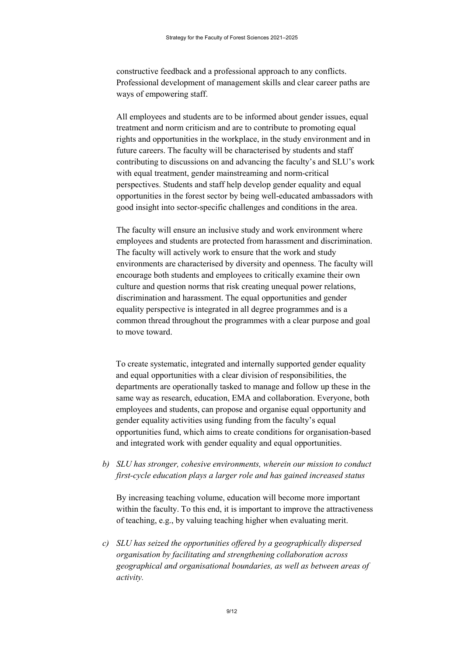constructive feedback and a professional approach to any conflicts. Professional development of management skills and clear career paths are ways of empowering staff.

All employees and students are to be informed about gender issues, equal treatment and norm criticism and are to contribute to promoting equal rights and opportunities in the workplace, in the study environment and in future careers. The faculty will be characterised by students and staff contributing to discussions on and advancing the faculty's and SLU's work with equal treatment, gender mainstreaming and norm-critical perspectives. Students and staff help develop gender equality and equal opportunities in the forest sector by being well-educated ambassadors with good insight into sector-specific challenges and conditions in the area.

The faculty will ensure an inclusive study and work environment where employees and students are protected from harassment and discrimination. The faculty will actively work to ensure that the work and study environments are characterised by diversity and openness. The faculty will encourage both students and employees to critically examine their own culture and question norms that risk creating unequal power relations, discrimination and harassment. The equal opportunities and gender equality perspective is integrated in all degree programmes and is a common thread throughout the programmes with a clear purpose and goal to move toward.

To create systematic, integrated and internally supported gender equality and equal opportunities with a clear division of responsibilities, the departments are operationally tasked to manage and follow up these in the same way as research, education, EMA and collaboration. Everyone, both employees and students, can propose and organise equal opportunity and gender equality activities using funding from the faculty's equal opportunities fund, which aims to create conditions for organisation-based and integrated work with gender equality and equal opportunities.

*b) SLU has stronger, cohesive environments, wherein our mission to conduct first-cycle education plays a larger role and has gained increased status*

By increasing teaching volume, education will become more important within the faculty. To this end, it is important to improve the attractiveness of teaching, e.g., by valuing teaching higher when evaluating merit.

*c) SLU has seized the opportunities offered by a geographically dispersed organisation by facilitating and strengthening collaboration across geographical and organisational boundaries, as well as between areas of activity.*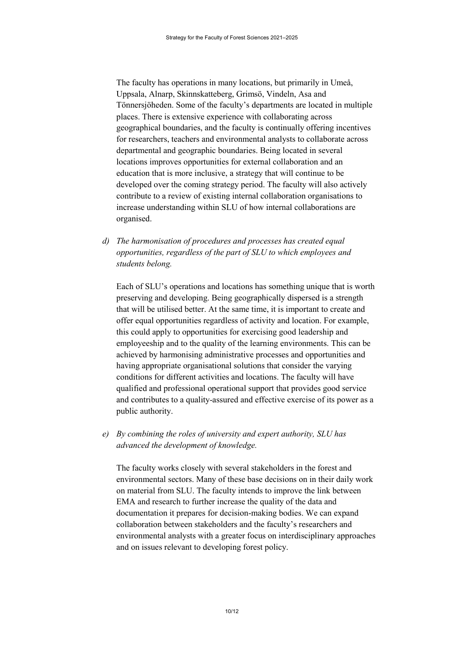The faculty has operations in many locations, but primarily in Umeå, Uppsala, Alnarp, Skinnskatteberg, Grimsö, Vindeln, Asa and Tönnersjöheden. Some of the faculty's departments are located in multiple places. There is extensive experience with collaborating across geographical boundaries, and the faculty is continually offering incentives for researchers, teachers and environmental analysts to collaborate across departmental and geographic boundaries. Being located in several locations improves opportunities for external collaboration and an education that is more inclusive, a strategy that will continue to be developed over the coming strategy period. The faculty will also actively contribute to a review of existing internal collaboration organisations to increase understanding within SLU of how internal collaborations are organised.

*d) The harmonisation of procedures and processes has created equal opportunities, regardless of the part of SLU to which employees and students belong.*

Each of SLU's operations and locations has something unique that is worth preserving and developing. Being geographically dispersed is a strength that will be utilised better. At the same time, it is important to create and offer equal opportunities regardless of activity and location. For example, this could apply to opportunities for exercising good leadership and employeeship and to the quality of the learning environments. This can be achieved by harmonising administrative processes and opportunities and having appropriate organisational solutions that consider the varying conditions for different activities and locations. The faculty will have qualified and professional operational support that provides good service and contributes to a quality-assured and effective exercise of its power as a public authority.

*e) By combining the roles of university and expert authority, SLU has advanced the development of knowledge.*

The faculty works closely with several stakeholders in the forest and environmental sectors. Many of these base decisions on in their daily work on material from SLU. The faculty intends to improve the link between EMA and research to further increase the quality of the data and documentation it prepares for decision-making bodies. We can expand collaboration between stakeholders and the faculty's researchers and environmental analysts with a greater focus on interdisciplinary approaches and on issues relevant to developing forest policy.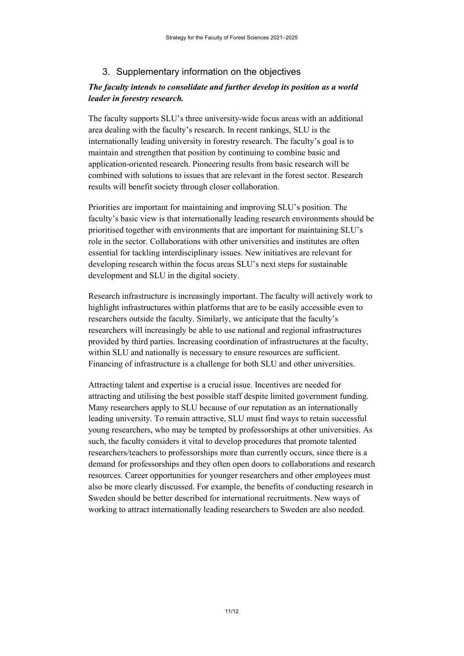# 3. Supplementary information on the objectives

# *The faculty intends to consolidate and further develop its position as a world leader in forestry research.*

The faculty supports SLU's three university-wide focus areas with an additional area dealing with the faculty's research. In recent rankings, SLU is the internationally leading university in forestry research. The faculty's goal is to maintain and strengthen that position by continuing to combine basic and application-oriented research. Pioneering results from basic research will be combined with solutions to issues that are relevant in the forest sector. Research results will benefit society through closer collaboration.

Priorities are important for maintaining and improving SLU's position. The faculty's basic view is that internationally leading research environments should be prioritised together with environments that are important for maintaining SLU's role in the sector. Collaborations with other universities and institutes are often essential for tackling interdisciplinary issues. New initiatives are relevant for developing research within the focus areas SLU's next steps for sustainable development and SLU in the digital society.

Research infrastructure is increasingly important. The faculty will actively work to highlight infrastructures within platforms that are to be easily accessible even to researchers outside the faculty. Similarly, we anticipate that the faculty's researchers will increasingly be able to use national and regional infrastructures provided by third parties. Increasing coordination of infrastructures at the faculty, within SLU and nationally is necessary to ensure resources are sufficient. Financing of infrastructure is a challenge for both SLU and other universities.

Attracting talent and expertise is a crucial issue. Incentives are needed for attracting and utilising the best possible staff despite limited government funding. Many researchers apply to SLU because of our reputation as an internationally leading university. To remain attractive, SLU must find ways to retain successful young researchers, who may be tempted by professorships at other universities. As such, the faculty considers it vital to develop procedures that promote talented researchers/teachers to professorships more than currently occurs, since there is a demand for professorships and they often open doors to collaborations and research resources. Career opportunities for younger researchers and other employees must also be more clearly discussed. For example, the benefits of conducting research in Sweden should be better described for international recruitments. New ways of working to attract internationally leading researchers to Sweden are also needed.